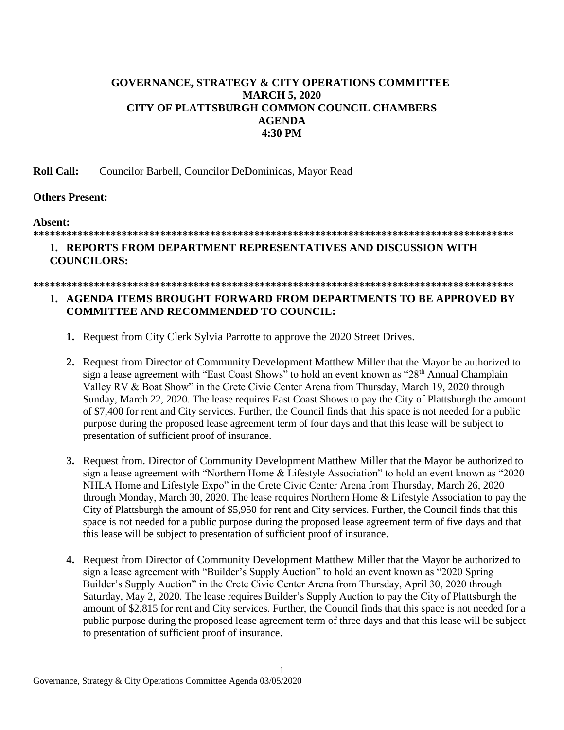# **GOVERNANCE, STRATEGY & CITY OPERATIONS COMMITTEE MARCH 5, 2020 CITY OF PLATTSBURGH COMMON COUNCIL CHAMBERS AGENDA 4:30 PM**

**Roll Call:** Councilor Barbell, Councilor DeDominicas, Mayor Read

## **Others Present:**

### **Absent:**

## **\*\*\*\*\*\*\*\*\*\*\*\*\*\*\*\*\*\*\*\*\*\*\*\*\*\*\*\*\*\*\*\*\*\*\*\*\*\*\*\*\*\*\*\*\*\*\*\*\*\*\*\*\*\*\*\*\*\*\*\*\*\*\*\*\*\*\*\*\*\*\*\*\*\*\*\*\*\*\*\*\*\*\*\*\*\*\***

# **1. REPORTS FROM DEPARTMENT REPRESENTATIVES AND DISCUSSION WITH COUNCILORS:**

### **\*\*\*\*\*\*\*\*\*\*\*\*\*\*\*\*\*\*\*\*\*\*\*\*\*\*\*\*\*\*\*\*\*\*\*\*\*\*\*\*\*\*\*\*\*\*\*\*\*\*\*\*\*\*\*\*\*\*\*\*\*\*\*\*\*\*\*\*\*\*\*\*\*\*\*\*\*\*\*\*\*\*\*\*\*\*\***

## **1. AGENDA ITEMS BROUGHT FORWARD FROM DEPARTMENTS TO BE APPROVED BY COMMITTEE AND RECOMMENDED TO COUNCIL:**

- **1.** Request from City Clerk Sylvia Parrotte to approve the 2020 Street Drives.
- **2.** Request from Director of Community Development Matthew Miller that the Mayor be authorized to sign a lease agreement with "East Coast Shows" to hold an event known as "28<sup>th</sup> Annual Champlain Valley RV & Boat Show" in the Crete Civic Center Arena from Thursday, March 19, 2020 through Sunday, March 22, 2020. The lease requires East Coast Shows to pay the City of Plattsburgh the amount of \$7,400 for rent and City services. Further, the Council finds that this space is not needed for a public purpose during the proposed lease agreement term of four days and that this lease will be subject to presentation of sufficient proof of insurance.
- **3.** Request from. Director of Community Development Matthew Miller that the Mayor be authorized to sign a lease agreement with "Northern Home & Lifestyle Association" to hold an event known as "2020 NHLA Home and Lifestyle Expo" in the Crete Civic Center Arena from Thursday, March 26, 2020 through Monday, March 30, 2020. The lease requires Northern Home & Lifestyle Association to pay the City of Plattsburgh the amount of \$5,950 for rent and City services. Further, the Council finds that this space is not needed for a public purpose during the proposed lease agreement term of five days and that this lease will be subject to presentation of sufficient proof of insurance.
- **4.** Request from Director of Community Development Matthew Miller that the Mayor be authorized to sign a lease agreement with "Builder's Supply Auction" to hold an event known as "2020 Spring Builder's Supply Auction" in the Crete Civic Center Arena from Thursday, April 30, 2020 through Saturday, May 2, 2020. The lease requires Builder's Supply Auction to pay the City of Plattsburgh the amount of \$2,815 for rent and City services. Further, the Council finds that this space is not needed for a public purpose during the proposed lease agreement term of three days and that this lease will be subject to presentation of sufficient proof of insurance.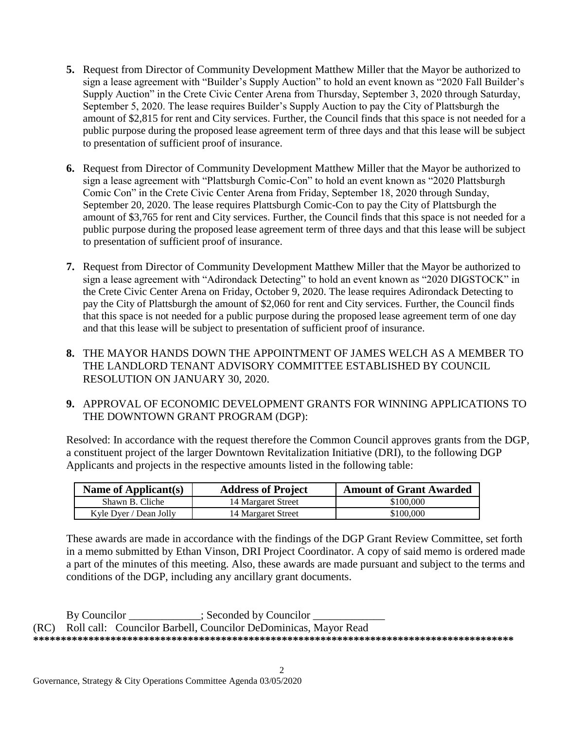- **5.** Request from Director of Community Development Matthew Miller that the Mayor be authorized to sign a lease agreement with "Builder's Supply Auction" to hold an event known as "2020 Fall Builder's Supply Auction" in the Crete Civic Center Arena from Thursday, September 3, 2020 through Saturday, September 5, 2020. The lease requires Builder's Supply Auction to pay the City of Plattsburgh the amount of \$2,815 for rent and City services. Further, the Council finds that this space is not needed for a public purpose during the proposed lease agreement term of three days and that this lease will be subject to presentation of sufficient proof of insurance.
- **6.** Request from Director of Community Development Matthew Miller that the Mayor be authorized to sign a lease agreement with "Plattsburgh Comic-Con" to hold an event known as "2020 Plattsburgh Comic Con" in the Crete Civic Center Arena from Friday, September 18, 2020 through Sunday, September 20, 2020. The lease requires Plattsburgh Comic-Con to pay the City of Plattsburgh the amount of \$3,765 for rent and City services. Further, the Council finds that this space is not needed for a public purpose during the proposed lease agreement term of three days and that this lease will be subject to presentation of sufficient proof of insurance.
- **7.** Request from Director of Community Development Matthew Miller that the Mayor be authorized to sign a lease agreement with "Adirondack Detecting" to hold an event known as "2020 DIGSTOCK" in the Crete Civic Center Arena on Friday, October 9, 2020. The lease requires Adirondack Detecting to pay the City of Plattsburgh the amount of \$2,060 for rent and City services. Further, the Council finds that this space is not needed for a public purpose during the proposed lease agreement term of one day and that this lease will be subject to presentation of sufficient proof of insurance.
- **8.** THE MAYOR HANDS DOWN THE APPOINTMENT OF JAMES WELCH AS A MEMBER TO THE LANDLORD TENANT ADVISORY COMMITTEE ESTABLISHED BY COUNCIL RESOLUTION ON JANUARY 30, 2020.
- **9.** APPROVAL OF ECONOMIC DEVELOPMENT GRANTS FOR WINNING APPLICATIONS TO THE DOWNTOWN GRANT PROGRAM (DGP):

Resolved: In accordance with the request therefore the Common Council approves grants from the DGP, a constituent project of the larger Downtown Revitalization Initiative (DRI), to the following DGP Applicants and projects in the respective amounts listed in the following table:

| Name of Applicant(s)   | <b>Address of Project</b> | <b>Amount of Grant Awarded</b> |
|------------------------|---------------------------|--------------------------------|
| Shawn B. Cliche        | 14 Margaret Street        | \$100,000                      |
| Kyle Dyer / Dean Jolly | 14 Margaret Street        | \$100,000                      |

These awards are made in accordance with the findings of the DGP Grant Review Committee, set forth in a memo submitted by Ethan Vinson, DRI Project Coordinator. A copy of said memo is ordered made a part of the minutes of this meeting. Also, these awards are made pursuant and subject to the terms and conditions of the DGP, including any ancillary grant documents.

By Councilor \_\_\_\_\_\_\_\_\_\_\_; Seconded by Councilor \_ (RC) Roll call: Councilor Barbell, Councilor DeDominicas, Mayor Read **\*\*\*\*\*\*\*\*\*\*\*\*\*\*\*\*\*\*\*\*\*\*\*\*\*\*\*\*\*\*\*\*\*\*\*\*\*\*\*\*\*\*\*\*\*\*\*\*\*\*\*\*\*\*\*\*\*\*\*\*\*\*\*\*\*\*\*\*\*\*\*\*\*\*\*\*\*\*\*\*\*\*\*\*\*\*\***

2